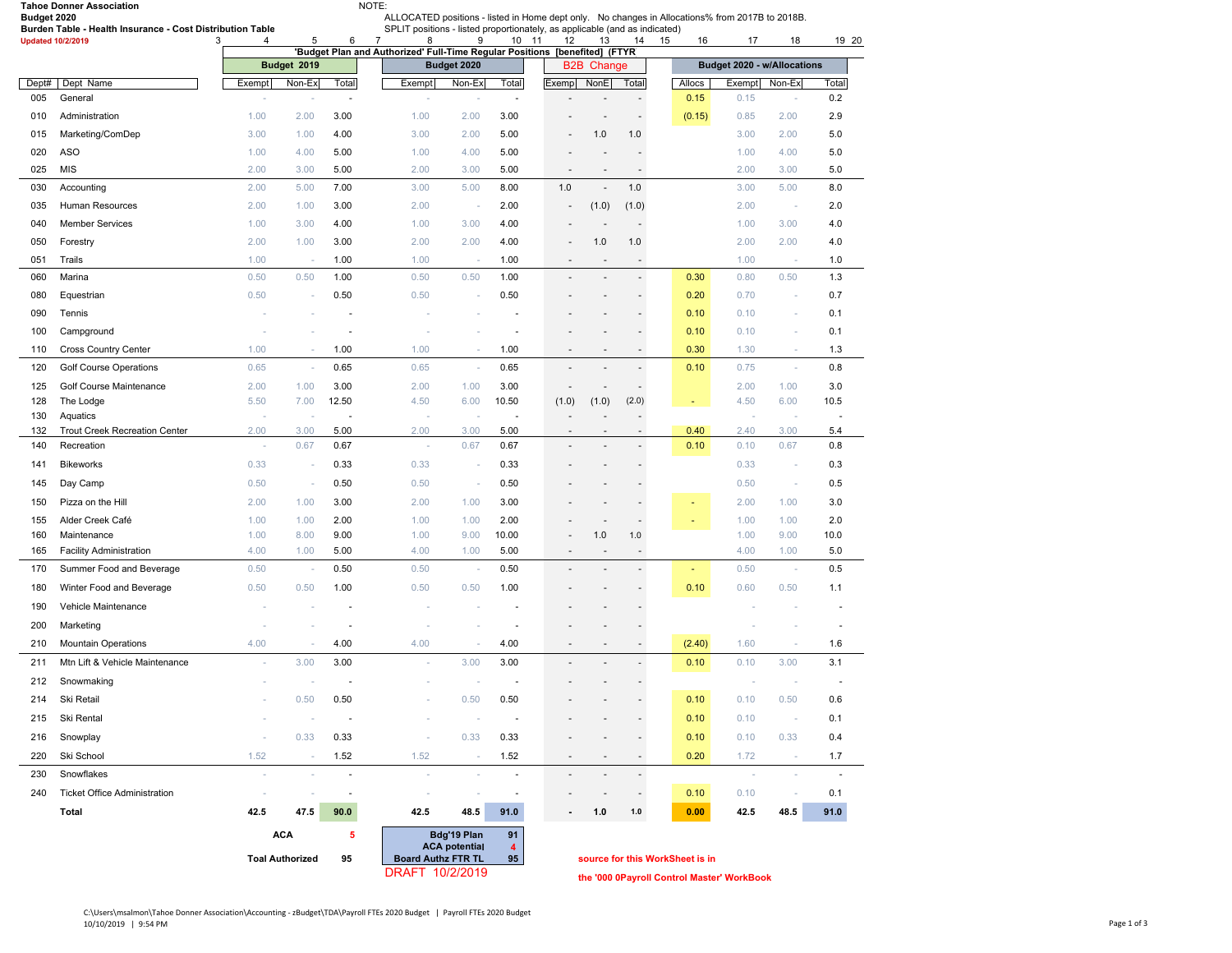|             | <b>Tahoe Donner Association</b>                           |        | NOTE:<br>ALLOCATED positions - listed in Home dept only. No changes in Allocations% from 2017B to 2018B.  |                          |                                                                            |                                                |                          |                          |                          |                          |          |                             |        |       |  |
|-------------|-----------------------------------------------------------|--------|-----------------------------------------------------------------------------------------------------------|--------------------------|----------------------------------------------------------------------------|------------------------------------------------|--------------------------|--------------------------|--------------------------|--------------------------|----------|-----------------------------|--------|-------|--|
| Budget 2020 | Burden Table - Health Insurance - Cost Distribution Table |        |                                                                                                           |                          | SPLIT positions - listed proportionately, as applicable (and as indicated) |                                                |                          |                          |                          |                          |          |                             |        |       |  |
|             | <b>Updated 10/2/2019</b>                                  | 3<br>4 | 5                                                                                                         | 6                        | $\overline{7}$<br>8                                                        | 9                                              | 10 11                    | 12                       | 13                       | 14                       | 15<br>16 | 17                          | 18     | 19 20 |  |
|             |                                                           |        | 'Budget Plan and Authorized' Full-Time Regular Positions [benefited] (FTYR)<br>Budget 2019<br>Budget 2020 |                          |                                                                            |                                                |                          |                          | <b>B2B Change</b>        |                          |          | Budget 2020 - w/Allocations |        |       |  |
| Dept#       | Dept Name                                                 | Exempt | Non-Ex                                                                                                    | Total                    | Exempt                                                                     | Non-Ex                                         | Total                    | Exemp                    | NonE                     | Total                    | Allocs   | Exempt                      | Non-Ex | Total |  |
| 005         | General                                                   |        |                                                                                                           | $\overline{\phantom{a}}$ | ٠                                                                          |                                                | $\sim$                   |                          |                          | $\overline{a}$           | 0.15     | 0.15                        | ×,     | 0.2   |  |
| 010         | Administration                                            | 1.00   | 2.00                                                                                                      | 3.00                     | 1.00                                                                       | 2.00                                           | 3.00                     |                          | ٠                        | $\overline{\phantom{a}}$ | (0.15)   | 0.85                        | 2.00   | 2.9   |  |
| 015         | Marketing/ComDep                                          | 3.00   | 1.00                                                                                                      | 4.00                     | 3.00                                                                       | 2.00                                           | 5.00                     | $\blacksquare$           | 1.0                      | 1.0                      |          | 3.00                        | 2.00   | 5.0   |  |
| 020         | <b>ASO</b>                                                | 1.00   | 4.00                                                                                                      | 5.00                     | 1.00                                                                       | 4.00                                           | 5.00                     |                          |                          |                          |          | 1.00                        | 4.00   | 5.0   |  |
| 025         | <b>MIS</b>                                                | 2.00   | 3.00                                                                                                      | 5.00                     | 2.00                                                                       | 3.00                                           | 5.00                     | $\overline{\phantom{a}}$ | $\overline{\phantom{a}}$ | $\sim$                   |          | 2.00                        | 3.00   | 5.0   |  |
| 030         | Accounting                                                | 2.00   | 5.00                                                                                                      | 7.00                     | 3.00                                                                       | 5.00                                           | 8.00                     | 1.0                      | ÷,                       | 1.0                      |          | 3.00                        | 5.00   | 8.0   |  |
| 035         | Human Resources                                           | 2.00   | 1.00                                                                                                      | 3.00                     | 2.00                                                                       | ÷                                              | 2.00                     | ÷                        | (1.0)                    | (1.0)                    |          | 2.00                        | $\sim$ | 2.0   |  |
| 040         | <b>Member Services</b>                                    | 1.00   | 3.00                                                                                                      | 4.00                     | 1.00                                                                       | 3.00                                           | 4.00                     | $\overline{\phantom{a}}$ | ÷,                       | $\sim$                   |          | 1.00                        | 3.00   | 4.0   |  |
| 050         | Forestry                                                  | 2.00   | 1.00                                                                                                      | 3.00                     | 2.00                                                                       | 2.00                                           | 4.00                     | ÷                        | 1.0                      | 1.0                      |          | 2.00                        | 2.00   | 4.0   |  |
| 051         | Trails                                                    | 1.00   | $\sim$                                                                                                    | 1.00                     | 1.00                                                                       | $\sim$                                         | 1.00                     | $\overline{\phantom{a}}$ | $\overline{\phantom{a}}$ | $\overline{\phantom{a}}$ |          | 1.00                        | $\sim$ | 1.0   |  |
| 060         | Marina                                                    | 0.50   | 0.50                                                                                                      | 1.00                     | 0.50                                                                       | 0.50                                           | 1.00                     | ÷,                       | $\overline{\phantom{a}}$ | $\blacksquare$           | 0.30     | 0.80                        | 0.50   | 1.3   |  |
| 080         | Equestrian                                                | 0.50   |                                                                                                           | 0.50                     | 0.50                                                                       |                                                | 0.50                     |                          |                          |                          | 0.20     | 0.70                        | $\sim$ | 0.7   |  |
| 090         | Tennis                                                    |        |                                                                                                           |                          |                                                                            |                                                |                          |                          |                          |                          | 0.10     | 0.10                        | ×,     | 0.1   |  |
| 100         | Campground                                                |        |                                                                                                           | ä,                       |                                                                            | ×                                              |                          |                          |                          | $\overline{\phantom{a}}$ | 0.10     | 0.10                        | $\sim$ | 0.1   |  |
| 110         | <b>Cross Country Center</b>                               | 1.00   | $\sim$                                                                                                    | 1.00                     | 1.00                                                                       | ×,                                             | 1.00                     | $\overline{\phantom{a}}$ | $\overline{\phantom{a}}$ | $\overline{\phantom{a}}$ | 0.30     | 1.30                        | $\sim$ | 1.3   |  |
| 120         | Golf Course Operations                                    | 0.65   | ×,                                                                                                        | 0.65                     | 0.65                                                                       | $\sim$                                         | 0.65                     | $\blacksquare$           |                          |                          | 0.10     | 0.75                        | $\sim$ | 0.8   |  |
| 125         | Golf Course Maintenance                                   | 2.00   | 1.00                                                                                                      | 3.00                     | 2.00                                                                       | 1.00                                           | 3.00                     | $\overline{\phantom{a}}$ |                          |                          |          | 2.00                        | 1.00   | 3.0   |  |
| 128         | The Lodge                                                 | 5.50   | 7.00                                                                                                      | 12.50                    | 4.50                                                                       | 6.00                                           | 10.50                    | (1.0)                    | (1.0)                    | (2.0)                    | ٠        | 4.50                        | 6.00   | 10.5  |  |
| 130         | Aquatics                                                  |        |                                                                                                           | $\sim$                   | J.                                                                         |                                                | $\overline{\phantom{a}}$ |                          |                          |                          |          |                             | ×      | ÷,    |  |
| 132         | <b>Trout Creek Recreation Center</b>                      | 2.00   | 3.00                                                                                                      | 5.00                     | 2.00                                                                       | 3.00                                           | 5.00                     | $\overline{\phantom{a}}$ |                          |                          | 0.40     | 2.40                        | 3.00   | 5.4   |  |
| 140         | Recreation                                                | ×.     | 0.67                                                                                                      | 0.67                     | $\sim$                                                                     | 0.67                                           | 0.67                     | $\overline{\phantom{a}}$ |                          |                          | 0.10     | 0.10                        | 0.67   | 0.8   |  |
| 141         | <b>Bikeworks</b>                                          | 0.33   | ×.                                                                                                        | 0.33                     | 0.33                                                                       | $\sim$                                         | 0.33                     |                          |                          |                          |          | 0.33                        | $\sim$ | 0.3   |  |
| 145         | Day Camp                                                  | 0.50   | $\sim$                                                                                                    | 0.50                     | 0.50                                                                       | $\sim$                                         | 0.50                     |                          |                          |                          |          | 0.50                        | $\sim$ | 0.5   |  |
| 150         | Pizza on the Hill                                         | 2.00   | 1.00                                                                                                      | 3.00                     | 2.00                                                                       | 1.00                                           | 3.00                     |                          |                          |                          | ٠        | 2.00                        | 1.00   | 3.0   |  |
| 155         | Alder Creek Café                                          | 1.00   | 1.00                                                                                                      | 2.00                     | 1.00                                                                       | 1.00                                           | 2.00                     |                          |                          |                          | ٠        | 1.00                        | 1.00   | 2.0   |  |
| 160         | Maintenance                                               | 1.00   | 8.00                                                                                                      | 9.00                     | 1.00                                                                       | 9.00                                           | 10.00                    | $\overline{\phantom{a}}$ | 1.0                      | 1.0                      |          | 1.00                        | 9.00   | 10.0  |  |
| 165         | <b>Facility Administration</b>                            | 4.00   | 1.00                                                                                                      | 5.00                     | 4.00                                                                       | 1.00                                           | 5.00                     | $\overline{\phantom{a}}$ | $\sim$                   | $\overline{\phantom{a}}$ |          | 4.00                        | 1.00   | 5.0   |  |
| 170         | Summer Food and Beverage                                  | 0.50   |                                                                                                           | 0.50                     | 0.50                                                                       | ٠                                              | 0.50                     | $\overline{\phantom{a}}$ | $\overline{\phantom{a}}$ | $\overline{a}$           | ÷        | 0.50                        | $\sim$ | 0.5   |  |
| 180         | Winter Food and Beverage                                  | 0.50   | 0.50                                                                                                      | 1.00                     | 0.50                                                                       | 0.50                                           | 1.00                     |                          |                          |                          | 0.10     | 0.60                        | 0.50   | 1.1   |  |
| 190         | Vehicle Maintenance                                       |        |                                                                                                           |                          |                                                                            |                                                |                          |                          |                          |                          |          |                             |        |       |  |
| 200         | Marketing                                                 |        |                                                                                                           | $\blacksquare$           |                                                                            |                                                |                          |                          |                          |                          |          |                             |        |       |  |
| 210         | <b>Mountain Operations</b>                                | 4.00   | $\sim$                                                                                                    | 4.00                     | 4.00                                                                       | $\sim$                                         | 4.00                     | $\overline{\phantom{a}}$ | $\overline{\phantom{a}}$ | $\overline{\phantom{a}}$ | (2.40)   | 1.60                        | ×,     | 1.6   |  |
| 211         | Mtn Lift & Vehicle Maintenance                            |        | 3.00                                                                                                      | 3.00                     | ä,                                                                         | 3.00                                           | 3.00                     |                          |                          |                          | 0.10     | 0.10                        | 3.00   | 3.1   |  |
| 212         | Snowmaking                                                |        |                                                                                                           |                          |                                                                            |                                                |                          |                          |                          |                          |          |                             |        |       |  |
| 214         | Ski Retail                                                |        | 0.50                                                                                                      | 0.50                     |                                                                            | 0.50                                           | 0.50                     |                          |                          |                          | 0.10     | 0.10                        | 0.50   | 0.6   |  |
| 215         | Ski Rental                                                |        | $\overline{\phantom{a}}$                                                                                  | $\overline{\phantom{a}}$ |                                                                            | ٠                                              |                          |                          |                          |                          | 0.10     | 0.10                        | $\sim$ | 0.1   |  |
| 216         | Snowplay                                                  | $\sim$ | 0.33                                                                                                      | 0.33                     | ×,                                                                         | 0.33                                           | 0.33                     |                          |                          |                          | 0.10     | 0.10                        | 0.33   | 0.4   |  |
| 220         | Ski School                                                | 1.52   | ×.                                                                                                        | 1.52                     | 1.52                                                                       | $\sim$                                         | 1.52                     | ٠                        | ٠                        | $\overline{\phantom{a}}$ | 0.20     | 1.72                        | $\sim$ | 1.7   |  |
| 230         | Snowflakes                                                | o.     | ×.                                                                                                        | ä,                       | ×                                                                          | $\sim$                                         | ä,                       | $\overline{\phantom{a}}$ |                          | $\sim$                   |          | $\sim$                      | $\sim$ | J.    |  |
| 240         | <b>Ticket Office Administration</b>                       | $\sim$ | $\sim$                                                                                                    | $\overline{\phantom{a}}$ | ×                                                                          | ×.                                             | $\overline{\phantom{a}}$ |                          |                          |                          | 0.10     | 0.10                        | $\sim$ | 0.1   |  |
|             | Total                                                     | 42.5   | 47.5                                                                                                      | 90.0                     | 42.5                                                                       | 48.5                                           | 91.0                     |                          | 1.0                      | 1.0                      | 0.00     | 42.5                        | 48.5   | 91.0  |  |
|             |                                                           |        |                                                                                                           |                          |                                                                            |                                                |                          |                          |                          |                          |          |                             |        |       |  |
|             |                                                           |        | <b>ACA</b><br>5                                                                                           |                          |                                                                            | Bdg'19 Plan<br>91<br><b>ACA potential</b><br>4 |                          |                          |                          |                          |          |                             |        |       |  |

**Toal Authorized Board Authz FTR T 95 L 95 source for this WorkSheet is in**

**DRAFT 10/2/2019** the '000 0Payroll Control Master' WorkBook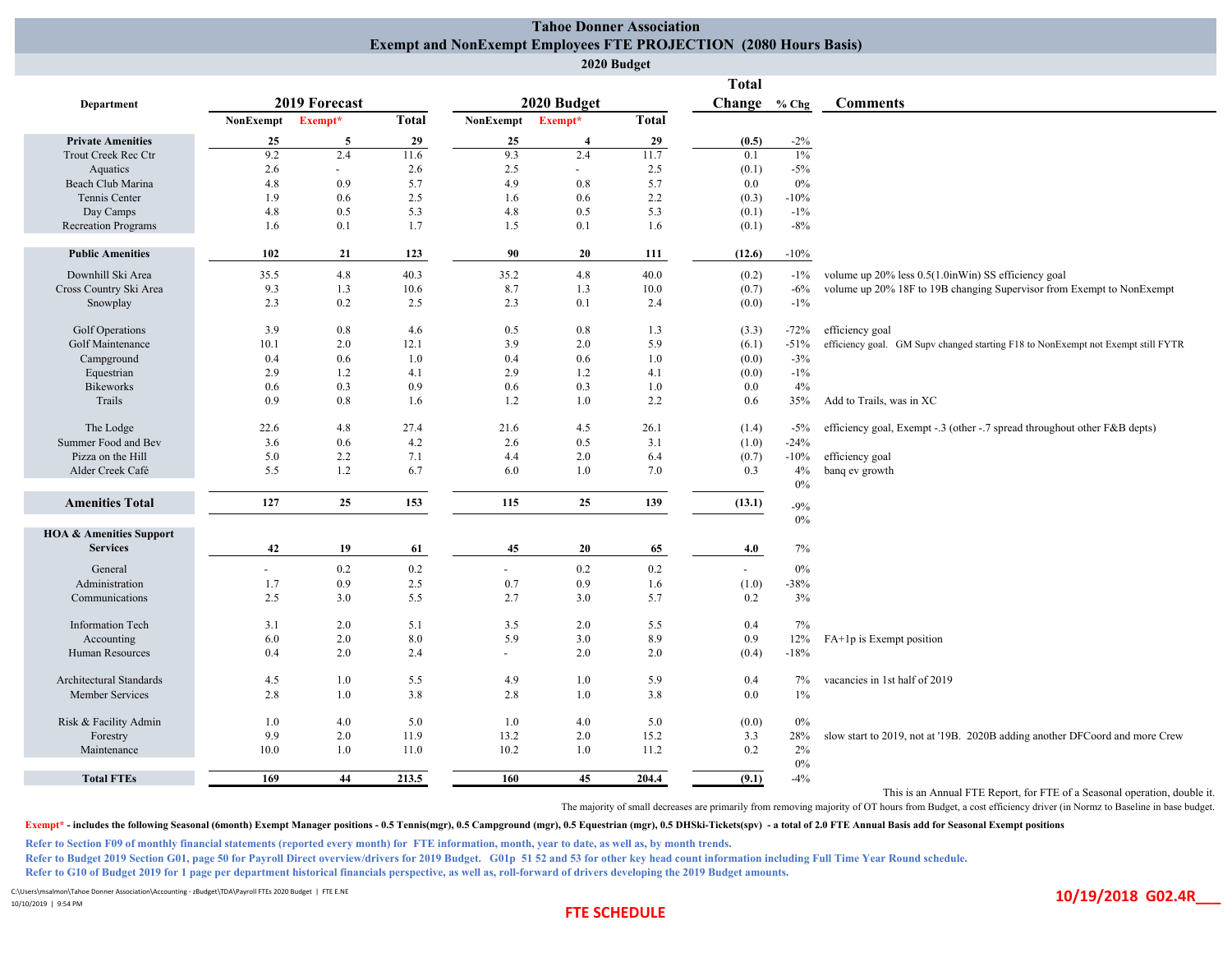## **Tahoe Donner Association Exempt and NonExempt Employees FTE PROJECTION (2080 Hours Basis)**

|                                                       |           |               |              |           |                | 2020 Budget  |                |              |                                                                                  |
|-------------------------------------------------------|-----------|---------------|--------------|-----------|----------------|--------------|----------------|--------------|----------------------------------------------------------------------------------|
|                                                       |           |               |              |           |                |              | <b>Total</b>   |              |                                                                                  |
| Department                                            |           | 2019 Forecast |              |           | 2020 Budget    |              |                | Change % Chg | <b>Comments</b>                                                                  |
|                                                       | NonExempt | Exempt*       | <b>Total</b> | NonExempt | Exempt*        | <b>Total</b> |                |              |                                                                                  |
| <b>Private Amenities</b>                              | 25        | 5             | 29           | 25        | $\overline{4}$ | 29           | (0.5)          | $-2\%$       |                                                                                  |
| Trout Creek Rec Ctr                                   | 9.2       | 2.4           | 11.6         | 9.3       | 2.4            | 11.7         | 0.1            | $1\%$        |                                                                                  |
| Aquatics                                              | 2.6       | $\sim$        | 2.6          | 2.5       | $\blacksquare$ | 2.5          | (0.1)          | $-5%$        |                                                                                  |
| Beach Club Marina                                     | 4.8       | 0.9           | 5.7          | 4.9       | 0.8            | 5.7          | 0.0            | 0%           |                                                                                  |
| Tennis Center                                         | 1.9       | 0.6           | 2.5          | 1.6       | 0.6            | 2.2          | (0.3)          | $-10%$       |                                                                                  |
| Day Camps                                             | 4.8       | 0.5           | 5.3          | 4.8       | 0.5            | 5.3          | (0.1)          | $-1\%$       |                                                                                  |
| <b>Recreation Programs</b>                            | 1.6       | 0.1           | 1.7          | 1.5       | 0.1            | 1.6          | (0.1)          | $-8%$        |                                                                                  |
| <b>Public Amenities</b>                               | 102       | 21            | 123          | 90        | 20             | 111          | (12.6)         | $-10%$       |                                                                                  |
| Downhill Ski Area                                     | 35.5      | 4.8           | 40.3         | 35.2      | 4.8            | 40.0         | (0.2)          | $-1\%$       | volume up 20% less 0.5(1.0inWin) SS efficiency goal                              |
| Cross Country Ski Area                                | 9.3       | 1.3           | 10.6         | 8.7       | 1.3            | 10.0         | (0.7)          | $-6%$        | volume up 20% 18F to 19B changing Supervisor from Exempt to NonExempt            |
| Snowplay                                              | 2.3       | 0.2           | 2.5          | 2.3       | 0.1            | 2.4          | (0.0)          | $-1\%$       |                                                                                  |
| Golf Operations                                       | 3.9       | 0.8           | 4.6          | 0.5       | 0.8            | 1.3          | (3.3)          | $-72%$       | efficiency goal                                                                  |
| Golf Maintenance                                      | 10.1      | 2.0           | 12.1         | 3.9       | 2.0            | 5.9          | (6.1)          | $-51%$       | efficiency goal. GM Supv changed starting F18 to NonExempt not Exempt still FYTR |
| Campground                                            | 0.4       | 0.6           | 1.0          | 0.4       | 0.6            | 1.0          | (0.0)          | $-3%$        |                                                                                  |
| Equestrian                                            | 2.9       | 1.2           | 4.1          | 2.9       | 1.2            | 4.1          | (0.0)          | $-1\%$       |                                                                                  |
| <b>Bikeworks</b>                                      | 0.6       | 0.3           | 0.9          | 0.6       | 0.3            | 1.0          | 0.0            | 4%           |                                                                                  |
| Trails                                                | 0.9       | 0.8           | 1.6          | 1.2       | 1.0            | 2.2          | 0.6            | 35%          | Add to Trails, was in XC                                                         |
| The Lodge                                             | 22.6      | 4.8           | 27.4         | 21.6      | 4.5            | 26.1         | (1.4)          | $-5%$        | efficiency goal, Exempt -.3 (other -.7 spread throughout other F&B depts)        |
| Summer Food and Bev                                   | 3.6       | 0.6           | 4.2          | 2.6       | 0.5            | 3.1          | (1.0)          | $-24%$       |                                                                                  |
| Pizza on the Hill                                     | 5.0       | 2.2           | 7.1          | 4.4       | 2.0            | 6.4          | (0.7)          | $-10%$       | efficiency goal                                                                  |
| Alder Creek Café                                      | 5.5       | 1.2           | 6.7          | 6.0       | 1.0            | 7.0          | 0.3            | 4%<br>$0\%$  | banq ev growth                                                                   |
| <b>Amenities Total</b>                                | 127       | 25            | 153          | 115       | 25             | 139          | (13.1)         | $-9%$        |                                                                                  |
|                                                       |           |               |              |           |                |              |                | $0\%$        |                                                                                  |
| <b>HOA &amp; Amenities Support</b><br><b>Services</b> | 42        | 19            | 61           | 45        | 20             | 65           | 4.0            | $7\%$        |                                                                                  |
|                                                       |           |               |              |           |                |              |                |              |                                                                                  |
| General                                               |           | 0.2           | 0.2          | $\sim$    | 0.2            | 0.2          | $\blacksquare$ | $0\%$        |                                                                                  |
| Administration                                        | 1.7       | 0.9           | 2.5          | 0.7       | 0.9            | 1.6          | (1.0)          | $-38%$       |                                                                                  |
| Communications                                        | 2.5       | 3.0           | 5.5          | 2.7       | 3.0            | 5.7          | 0.2            | 3%           |                                                                                  |
| <b>Information Tech</b>                               | 3.1       | 2.0           | 5.1          | 3.5       | 2.0            | 5.5          | 0.4            | 7%           |                                                                                  |
| Accounting                                            | 6.0       | 2.0           | 8.0          | 5.9       | 3.0            | 8.9          | 0.9            | 12%          | FA+1p is Exempt position                                                         |
| Human Resources                                       | 0.4       | 2.0           | 2.4          | $\sim$    | 2.0            | 2.0          | (0.4)          | $-18%$       |                                                                                  |
| Architectural Standards                               | 4.5       | 1.0           | 5.5          | 4.9       | 1.0            | 5.9          | 0.4            | 7%           | vacancies in 1st half of 2019                                                    |
| Member Services                                       | 2.8       | 1.0           | 3.8          | 2.8       | 1.0            | 3.8          | 0.0            | $1\%$        |                                                                                  |
| Risk & Facility Admin                                 | 1.0       | 4.0           | 5.0          | 1.0       | 4.0            | 5.0          | (0.0)          | 0%           |                                                                                  |
| Forestry                                              | 9.9       | 2.0           | 11.9         | 13.2      | 2.0            | 15.2         | 3.3            | 28%          | slow start to 2019, not at '19B. 2020B adding another DFCoord and more Crew      |
| Maintenance                                           | 10.0      | 1.0           | 11.0         | 10.2      | 1.0            | 11.2         | 0.2            | 2%<br>$0\%$  |                                                                                  |
| <b>Total FTEs</b>                                     | 169       | 44            | 213.5        | 160       | 45             | 204.4        | (9.1)          | $-4%$        |                                                                                  |
|                                                       |           |               |              |           |                |              |                |              |                                                                                  |

This is an Annual FTE Report, for FTE of a Seasonal operation, double it.

The majority of small decreases are primarily from removing majority of OT hours from Budget, a cost efficiency driver (in Normz to Baseline in base budget.

Exempt\* - includes the following Seasonal (6month) Exempt Manager positions - 0.5 Tennis(mgr), 0.5 Campground (mgr), 0.5 Equestrian (mgr), 0.5 DHSki-Tickets(spv) - a total of 2.0 FTE Annual Basis add for Seasonal Exempt po

**Refer to Section F09 of monthly financial statements (reported every month) for FTE information, month, year to date, as well as, by month trends.**

**Refer to Budget 2019 Section G01, page 50 for Payroll Direct overview/drivers for 2019 Budget. G01p 51 52 and 53 for other key head count information including Full Time Year Round schedule.**

**Refer to G10 of Budget 2019 for 1 page per department historical financials perspective, as well as, roll-forward of drivers developing the 2019 Budget amounts.**

C:\Users\msalmon\Tahoe Donner Association\Accounting ‐ zBudget\TDA\Payroll FTEs 2020 Budget | FTE E.NE

10/10/2019 | 9:54 PM

## **FTE FTE**